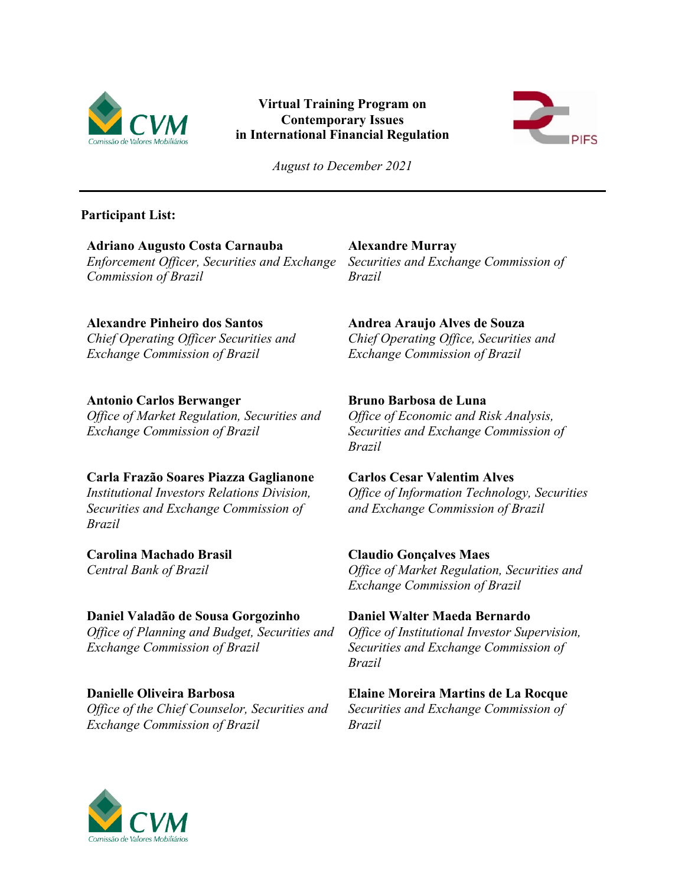

# **Virtual Training Program on Contemporary Issues in International Financial Regulation**



*August to December 2021*

### **Participant List:**

**Adriano Augusto Costa Carnauba** *Enforcement Officer, Securities and Exchange Commission of Brazil*

**Alexandre Pinheiro dos Santos**

*Chief Operating Officer Securities and Exchange Commission of Brazil*

# **Antonio Carlos Berwanger**

*Office of Market Regulation, Securities and Exchange Commission of Brazil*

# **Carla Frazão Soares Piazza Gaglianone**

*Institutional Investors Relations Division, Securities and Exchange Commission of Brazil*

**Carolina Machado Brasil**  *Central Bank of Brazil*

**Daniel Valadão de Sousa Gorgozinho** *Office of Planning and Budget, Securities and Exchange Commission of Brazil*

**Danielle Oliveira Barbosa** *Office of the Chief Counselor, Securities and Exchange Commission of Brazil*

**Alexandre Murray**

*Securities and Exchange Commission of Brazil*

**Andrea Araujo Alves de Souza** *Chief Operating Office, Securities and* 

*Exchange Commission of Brazil*

# **Bruno Barbosa de Luna**

*Office of Economic and Risk Analysis, Securities and Exchange Commission of Brazil*

# **Carlos Cesar Valentim Alves**

*Office of Information Technology, Securities and Exchange Commission of Brazil*

**Claudio Gonçalves Maes**

*Office of Market Regulation, Securities and Exchange Commission of Brazil*

# **Daniel Walter Maeda Bernardo**

*Office of Institutional Investor Supervision, Securities and Exchange Commission of Brazil*

**Elaine Moreira Martins de La Rocque** *Securities and Exchange Commission of Brazil*

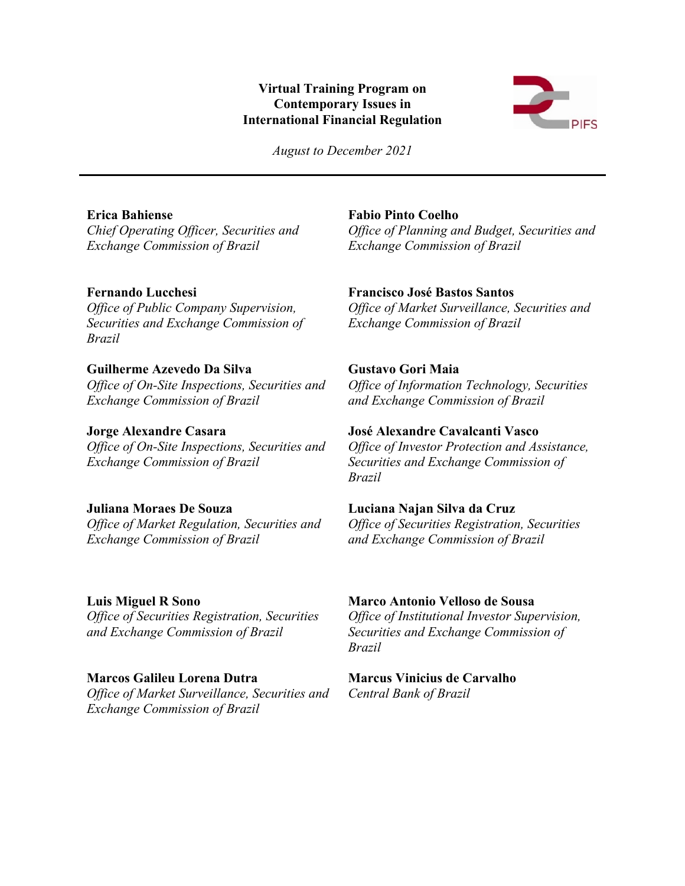#### **Virtual Training Program on Contemporary Issues in International Financial Regulation**



*August to December 2021*

# **Erica Bahiense**

*Chief Operating Officer, Securities and Exchange Commission of Brazil*

# **Fernando Lucchesi**

*Office of Public Company Supervision, Securities and Exchange Commission of Brazil*

### **Guilherme Azevedo Da Silva**

*Office of On-Site Inspections, Securities and Exchange Commission of Brazil*

#### **Jorge Alexandre Casara**

*Office of On-Site Inspections, Securities and Exchange Commission of Brazil*

### **Juliana Moraes De Souza**

*Office of Market Regulation, Securities and Exchange Commission of Brazil*

### **Luis Miguel R Sono**

*Office of Securities Registration, Securities and Exchange Commission of Brazil*

### **Marcos Galileu Lorena Dutra**

*Office of Market Surveillance, Securities and Exchange Commission of Brazil*

### **Fabio Pinto Coelho**

*Office of Planning and Budget, Securities and Exchange Commission of Brazil*

### **Francisco José Bastos Santos**

*Office of Market Surveillance, Securities and Exchange Commission of Brazil*

# **Gustavo Gori Maia**

*Office of Information Technology, Securities and Exchange Commission of Brazil*

#### **José Alexandre Cavalcanti Vasco**

*Office of Investor Protection and Assistance, Securities and Exchange Commission of Brazil*

#### **Luciana Najan Silva da Cruz**

*Office of Securities Registration, Securities and Exchange Commission of Brazil*

#### **Marco Antonio Velloso de Sousa**

*Office of Institutional Investor Supervision, Securities and Exchange Commission of Brazil*

### **Marcus Vinicius de Carvalho**

*Central Bank of Brazil*